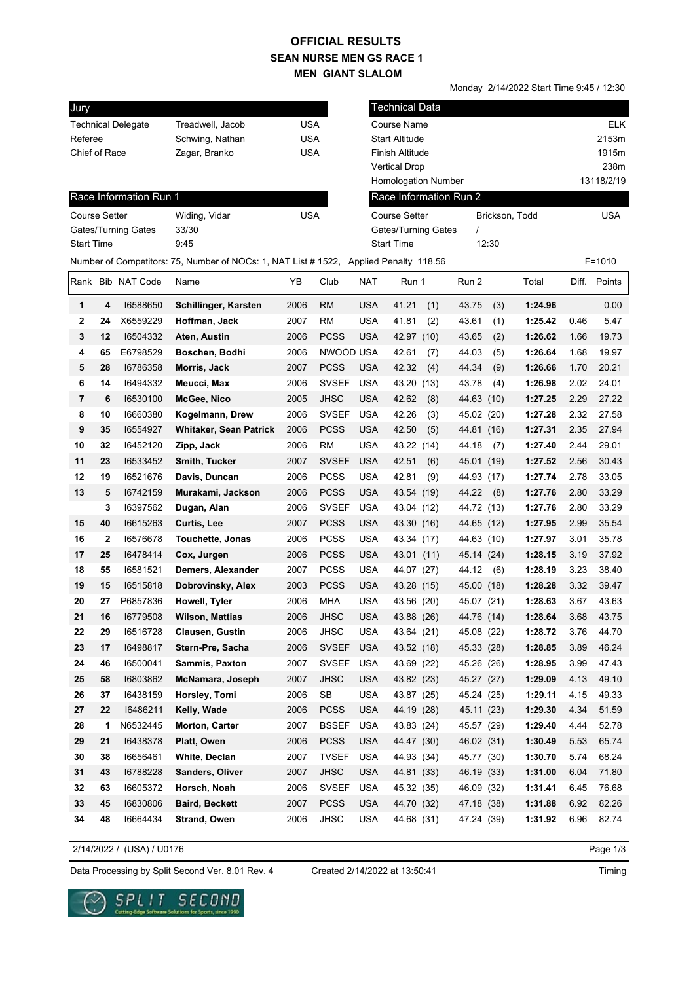## **SEAN NURSE MEN GS RACE 1 MEN GIANT SLALOM OFFICIAL RESULTS**

Monday 2/14/2022 Start Time 9:45 / 12:30

| Jury                 |              |                           |                                                                |            |              |            | <b>Technical Data</b>  |            |       |                |      |              |
|----------------------|--------------|---------------------------|----------------------------------------------------------------|------------|--------------|------------|------------------------|------------|-------|----------------|------|--------------|
|                      |              | <b>Technical Delegate</b> | Treadwell, Jacob                                               | <b>USA</b> |              |            | Course Name            |            |       |                |      | <b>ELK</b>   |
| Referee              |              |                           | Schwing, Nathan                                                | <b>USA</b> |              |            | <b>Start Altitude</b>  |            |       |                |      | 2153m        |
| Chief of Race        |              |                           | Zagar, Branko                                                  | <b>USA</b> |              |            | Finish Altitude        |            |       |                |      | 1915m        |
|                      |              |                           |                                                                |            |              |            | <b>Vertical Drop</b>   |            |       |                |      | 238m         |
|                      |              |                           |                                                                |            |              |            | Homologation Number    |            |       |                |      | 13118/2/19   |
|                      |              | Race Information Run 1    |                                                                |            |              |            | Race Information Run 2 |            |       |                |      |              |
| <b>Course Setter</b> |              |                           | Widing, Vidar                                                  | <b>USA</b> |              |            | <b>Course Setter</b>   |            |       | Brickson, Todd |      | <b>USA</b>   |
|                      |              | Gates/Turning Gates       | 33/30                                                          |            |              |            | Gates/Turning Gates    | $\prime$   |       |                |      |              |
| <b>Start Time</b>    |              |                           | 9:45                                                           |            |              |            | <b>Start Time</b>      |            | 12:30 |                |      |              |
|                      |              |                           | Number of Competitors: 75, Number of NOCs: 1, NAT List # 1522, |            |              |            | Applied Penalty 118.56 |            |       |                |      | $F = 1010$   |
|                      |              | Rank Bib NAT Code         | Name                                                           | YB         | Club         | NAT        | Run 1                  | Run 2      |       | Total          |      | Diff. Points |
| 1                    | 4            | 16588650                  | Schillinger, Karsten                                           | 2006       | <b>RM</b>    | <b>USA</b> | 41.21<br>(1)           | 43.75      | (3)   | 1:24.96        |      | 0.00         |
| 2                    | 24           | X6559229                  | Hoffman, Jack                                                  | 2007       | <b>RM</b>    | <b>USA</b> | 41.81<br>(2)           | 43.61      | (1)   | 1:25.42        | 0.46 | 5.47         |
| 3                    | 12           | 16504332                  | Aten, Austin                                                   | 2006       | <b>PCSS</b>  | <b>USA</b> | 42.97 (10)             | 43.65      | (2)   | 1:26.62        | 1.66 | 19.73        |
| 4                    | 65           | E6798529                  | Boschen, Bodhi                                                 | 2006       | NWOOD USA    |            | 42.61<br>(7)           | 44.03      | (5)   | 1:26.64        | 1.68 | 19.97        |
| 5                    | 28           | 16786358                  | Morris, Jack                                                   | 2007       | <b>PCSS</b>  | <b>USA</b> | 42.32<br>(4)           | 44.34      | (9)   | 1:26.66        | 1.70 | 20.21        |
| 6                    | 14           | 16494332                  | Meucci, Max                                                    | 2006       | <b>SVSEF</b> | <b>USA</b> | 43.20 (13)             | 43.78      | (4)   | 1:26.98        | 2.02 | 24.01        |
| 7                    | 6            | 16530100                  | McGee, Nico                                                    | 2005       | <b>JHSC</b>  | <b>USA</b> | 42.62<br>(8)           | 44.63 (10) |       | 1:27.25        | 2.29 | 27.22        |
| 8                    | 10           | 16660380                  | Kogelmann, Drew                                                | 2006       | <b>SVSEF</b> | <b>USA</b> | 42.26<br>(3)           | 45.02 (20) |       | 1:27.28        | 2.32 | 27.58        |
| 9                    | 35           | 16554927                  | <b>Whitaker, Sean Patrick</b>                                  | 2006       | <b>PCSS</b>  | <b>USA</b> | 42.50<br>(5)           | 44.81 (16) |       | 1:27.31        | 2.35 | 27.94        |
| 10                   | 32           | 16452120                  | Zipp, Jack                                                     | 2006       | <b>RM</b>    | <b>USA</b> | 43.22 (14)             | 44.18      | (7)   | 1:27.40        | 2.44 | 29.01        |
| 11                   | 23           | 16533452                  | Smith, Tucker                                                  | 2007       | <b>SVSEF</b> | <b>USA</b> | 42.51<br>(6)           | 45.01 (19) |       | 1:27.52        | 2.56 | 30.43        |
| 12                   | 19           | 16521676                  | Davis, Duncan                                                  | 2006       | <b>PCSS</b>  | <b>USA</b> | 42.81<br>(9)           | 44.93 (17) |       | 1:27.74        | 2.78 | 33.05        |
| 13                   | 5            | 16742159                  | Murakami, Jackson                                              | 2006       | <b>PCSS</b>  | <b>USA</b> | 43.54 (19)             | 44.22      | (8)   | 1:27.76        | 2.80 | 33.29        |
|                      | 3            | 16397562                  | Dugan, Alan                                                    | 2006       | <b>SVSEF</b> | <b>USA</b> | 43.04 (12)             | 44.72 (13) |       | 1:27.76        | 2.80 | 33.29        |
| 15                   | 40           | 16615263                  | <b>Curtis, Lee</b>                                             | 2007       | <b>PCSS</b>  | <b>USA</b> | 43.30 (16)             | 44.65 (12) |       | 1:27.95        | 2.99 | 35.54        |
| 16                   | $\mathbf{2}$ | 16576678                  | <b>Touchette, Jonas</b>                                        | 2006       | <b>PCSS</b>  | <b>USA</b> | 43.34 (17)             | 44.63 (10) |       | 1:27.97        | 3.01 | 35.78        |
| 17                   | 25           | 16478414                  | Cox, Jurgen                                                    | 2006       | <b>PCSS</b>  | <b>USA</b> | 43.01 (11)             | 45.14 (24) |       | 1:28.15        | 3.19 | 37.92        |
| 18                   | 55           | 16581521                  | Demers, Alexander                                              | 2007       | <b>PCSS</b>  | <b>USA</b> | 44.07 (27)             | 44.12      | (6)   | 1:28.19        | 3.23 | 38.40        |
| 19                   | 15           | 16515818                  | Dobrovinsky, Alex                                              | 2003       | <b>PCSS</b>  | <b>USA</b> | 43.28 (15)             | 45.00 (18) |       | 1:28.28        | 3.32 | 39.47        |
| 20                   | 27           | P6857836                  | Howell, Tyler                                                  | 2006       | <b>MHA</b>   | <b>USA</b> | 43.56 (20)             | 45.07 (21) |       | 1:28.63        | 3.67 | 43.63        |
| 21                   | 16           | 16779508                  | Wilson, Mattias                                                | 2006       | <b>JHSC</b>  | <b>USA</b> | 43.88 (26)             | 44.76 (14) |       | 1:28.64        | 3.68 | 43.75        |
| 22                   | 29           | 16516728                  | <b>Clausen, Gustin</b>                                         | 2006       | <b>JHSC</b>  | <b>USA</b> | 43.64 (21)             | 45.08 (22) |       | 1:28.72        | 3.76 | 44.70        |
| 23                   | 17           | 16498817                  | Stern-Pre, Sacha                                               | 2006       | <b>SVSEF</b> | <b>USA</b> | 43.52 (18)             | 45.33 (28) |       | 1:28.85        | 3.89 | 46.24        |
| 24                   | 46           | 16500041                  | Sammis, Paxton                                                 | 2007       | <b>SVSEF</b> | <b>USA</b> | 43.69 (22)             | 45.26 (26) |       | 1:28.95        | 3.99 | 47.43        |
| 25                   | 58           | 16803862                  | McNamara, Joseph                                               | 2007       | <b>JHSC</b>  | <b>USA</b> | 43.82 (23)             | 45.27 (27) |       | 1:29.09        | 4.13 | 49.10        |
| 26                   | 37           | 16438159                  | Horsley, Tomi                                                  | 2006       | SB           | USA        | 43.87 (25)             | 45.24 (25) |       | 1:29.11        | 4.15 | 49.33        |
| 27                   | 22           | 16486211                  | Kelly, Wade                                                    | 2006       | <b>PCSS</b>  | <b>USA</b> | 44.19 (28)             | 45.11 (23) |       | 1:29.30        | 4.34 | 51.59        |
| 28                   | 1            | N6532445                  | Morton, Carter                                                 | 2007       | <b>BSSEF</b> | USA        | 43.83 (24)             | 45.57 (29) |       | 1:29.40        | 4.44 | 52.78        |
| 29                   | 21           | 16438378                  | Platt, Owen                                                    | 2006       | <b>PCSS</b>  | <b>USA</b> | 44.47 (30)             | 46.02 (31) |       | 1:30.49        | 5.53 | 65.74        |
| 30                   | 38           | 16656461                  | White, Declan                                                  | 2007       | <b>TVSEF</b> | <b>USA</b> | 44.93 (34)             | 45.77 (30) |       | 1:30.70        | 5.74 | 68.24        |
| 31                   | 43           | 16788228                  | Sanders, Oliver                                                | 2007       | <b>JHSC</b>  | <b>USA</b> | 44.81 (33)             | 46.19 (33) |       | 1:31.00        | 6.04 | 71.80        |
| 32                   | 63           | 16605372                  | Horsch, Noah                                                   | 2006       | <b>SVSEF</b> | <b>USA</b> | 45.32 (35)             | 46.09 (32) |       | 1:31.41        | 6.45 | 76.68        |
| 33                   | 45           | 16830806                  | <b>Baird, Beckett</b>                                          | 2007       | <b>PCSS</b>  | <b>USA</b> | 44.70 (32)             | 47.18 (38) |       | 1:31.88        | 6.92 | 82.26        |
| 34                   | 48           | 16664434                  | Strand, Owen                                                   | 2006       | <b>JHSC</b>  | USA        | 44.68 (31)             | 47.24 (39) |       | 1:31.92        | 6.96 | 82.74        |
|                      |              |                           |                                                                |            |              |            |                        |            |       |                |      |              |

2/14/2022 / (USA) / U0176

Page 1/3

Data Processing by Split Second Ver. 8.01 Rev. 4 Created 2/14/2022 at 13:50:41

Created 2/14/2022 at 13:50:41

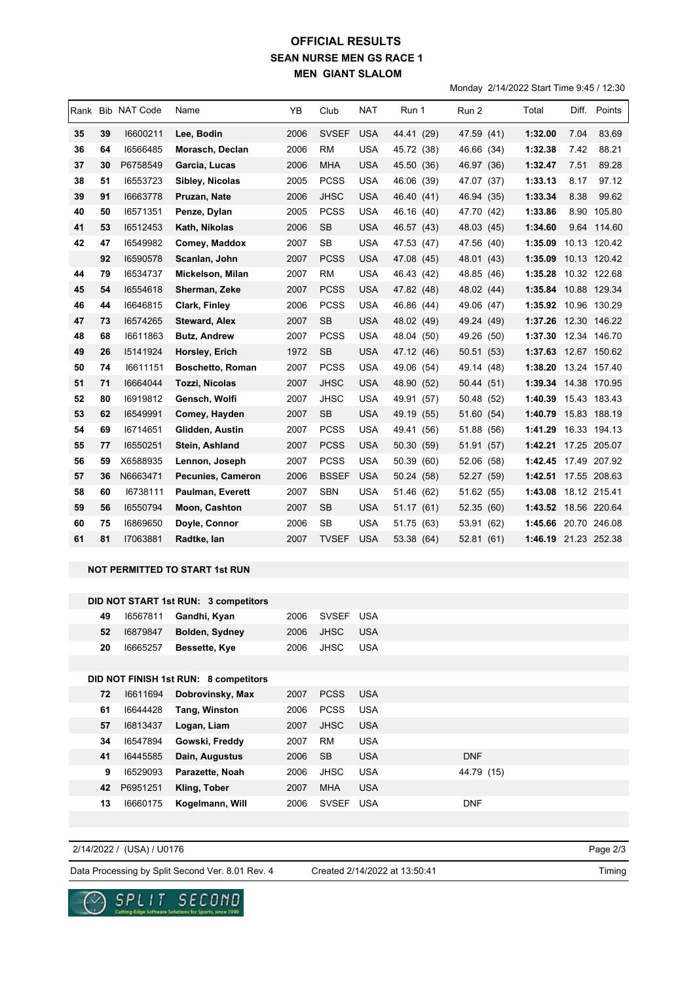## **SEAN NURSE MEN GS RACE 1 MEN GIANT SLALOM OFFICIAL RESULTS**

Monday 2/14/2022 Start Time 9:45 / 12:30

|    |    | Rank Bib NAT Code | Name                    | YB   | Club         | <b>NAT</b> | Run 1      | Run 2         | Total                | Diff. | Points       |
|----|----|-------------------|-------------------------|------|--------------|------------|------------|---------------|----------------------|-------|--------------|
| 35 | 39 | 16600211          | Lee, Bodin              | 2006 | <b>SVSEF</b> | <b>USA</b> | 44.41 (29) | 47.59 (41)    | 1:32.00              | 7.04  | 83.69        |
| 36 | 64 | 16566485          | Morasch, Declan         | 2006 | <b>RM</b>    | USA        | 45.72 (38) | 46.66<br>(34) | 1:32.38              | 7.42  | 88.21        |
| 37 | 30 | P6758549          | Garcia, Lucas           | 2006 | <b>MHA</b>   | <b>USA</b> | 45.50 (36) | 46.97 (36)    | 1:32.47              | 7.51  | 89.28        |
| 38 | 51 | 16553723          | Sibley, Nicolas         | 2005 | <b>PCSS</b>  | <b>USA</b> | 46.06 (39) | 47.07<br>(37) | 1:33.13              | 8.17  | 97.12        |
| 39 | 91 | 16663778          | Pruzan, Nate            | 2006 | <b>JHSC</b>  | <b>USA</b> | 46.40 (41) | 46.94 (35)    | 1:33.34              | 8.38  | 99.62        |
| 40 | 50 | 16571351          | Penze, Dylan            | 2005 | <b>PCSS</b>  | <b>USA</b> | 46.16 (40) | 47.70 (42)    | 1:33.86              | 8.90  | 105.80       |
| 41 | 53 | 16512453          | Kath, Nikolas           | 2006 | <b>SB</b>    | <b>USA</b> | 46.57 (43) | 48.03<br>(45) | 1:34.60              |       | 9.64 114.60  |
| 42 | 47 | 16549982          | Comey, Maddox           | 2007 | <b>SB</b>    | <b>USA</b> | 47.53 (47) | 47.56<br>(40) | 1:35.09              |       | 10.13 120.42 |
|    | 92 | 16590578          | Scanlan, John           | 2007 | <b>PCSS</b>  | <b>USA</b> | 47.08 (45) | 48.01<br>(43) | 1:35.09              |       | 10.13 120.42 |
| 44 | 79 | 16534737          | Mickelson, Milan        | 2007 | <b>RM</b>    | <b>USA</b> | 46.43 (42) | 48.85 (46)    | 1:35.28              |       | 10.32 122.68 |
| 45 | 54 | 16554618          | Sherman, Zeke           | 2007 | <b>PCSS</b>  | <b>USA</b> | 47.82 (48) | 48.02 (44)    | 1:35.84              |       | 10.88 129.34 |
| 46 | 44 | 16646815          | <b>Clark, Finley</b>    | 2006 | <b>PCSS</b>  | <b>USA</b> | 46.86 (44) | 49.06 (47)    | 1:35.92 10.96 130.29 |       |              |
| 47 | 73 | 16574265          | <b>Steward, Alex</b>    | 2007 | <b>SB</b>    | <b>USA</b> | 48.02 (49) | 49.24 (49)    | 1:37.26              |       | 12.30 146.22 |
| 48 | 68 | 16611863          | <b>Butz, Andrew</b>     | 2007 | <b>PCSS</b>  | <b>USA</b> | 48.04 (50) | 49.26<br>(50) | 1:37.30              |       | 12.34 146.70 |
| 49 | 26 | 15141924          | Horsley, Erich          | 1972 | <b>SB</b>    | <b>USA</b> | 47.12 (46) | 50.51 (53)    | 1:37.63              |       | 12.67 150.62 |
| 50 | 74 | 16611151          | <b>Boschetto, Roman</b> | 2007 | <b>PCSS</b>  | <b>USA</b> | 49.06 (54) | 49.14 (48)    | 1:38.20              |       | 13.24 157.40 |
| 51 | 71 | 16664044          | <b>Tozzi, Nicolas</b>   | 2007 | <b>JHSC</b>  | <b>USA</b> | 48.90 (52) | 50.44 (51)    | 1:39.34              |       | 14.38 170.95 |
| 52 | 80 | 16919812          | Gensch, Wolfi           | 2007 | JHSC         | <b>USA</b> | 49.91 (57) | 50.48<br>(52) | 1:40.39 15.43 183.43 |       |              |
| 53 | 62 | 16549991          | Comey, Hayden           | 2007 | <b>SB</b>    | <b>USA</b> | 49.19 (55) | 51.60<br>(54) | 1:40.79              |       | 15.83 188.19 |
| 54 | 69 | 16714651          | Glidden, Austin         | 2007 | <b>PCSS</b>  | <b>USA</b> | 49.41 (56) | 51.88 (56)    | 1:41.29              |       | 16.33 194.13 |
| 55 | 77 | 16550251          | Stein, Ashland          | 2007 | <b>PCSS</b>  | <b>USA</b> | 50.30 (59) | 51.91 (57)    | 1:42.21              |       | 17.25 205.07 |
| 56 | 59 | X6588935          | Lennon, Joseph          | 2007 | <b>PCSS</b>  | <b>USA</b> | 50.39 (60) | 52.06 (58)    | 1:42.45              |       | 17.49 207.92 |
| 57 | 36 | N6663471          | Pecunies, Cameron       | 2006 | <b>BSSEF</b> | <b>USA</b> | 50.24 (58) | 52.27 (59)    | 1:42.51              |       | 17.55 208.63 |
| 58 | 60 | 16738111          | <b>Paulman, Everett</b> | 2007 | <b>SBN</b>   | <b>USA</b> | 51.46 (62) | 51.62 (55)    | 1:43.08              |       | 18.12 215.41 |
| 59 | 56 | 16550794          | Moon, Cashton           | 2007 | <b>SB</b>    | <b>USA</b> | 51.17 (61) | 52.35 (60)    | 1:43.52              |       | 18.56 220.64 |
| 60 | 75 | 16869650          | Doyle, Connor           | 2006 | <b>SB</b>    | <b>USA</b> | 51.75 (63) | 53.91<br>(62) | 1:45.66              |       | 20.70 246.08 |
| 61 | 81 | 17063881          | Radtke, lan             | 2007 | <b>TVSEF</b> | <b>USA</b> | 53.38 (64) | 52.81 (61)    | 1:46.19 21.23 252.38 |       |              |

## **NOT PERMITTED TO START 1st RUN**

 $\underset{\text{Cstring Edys Sofour's following Ldfsens for Sport, since 1990}}{\mathsf{S}} \underset{\text{Corting Edys Sofour's Schrmss for Sport, since 1990}}{\mathsf{S}}$ 

 $\sim$ 

|    |          | DID NOT START 1st RUN: 3 competitors  |      |              |            |            |
|----|----------|---------------------------------------|------|--------------|------------|------------|
| 49 | 16567811 | Gandhi, Kyan                          | 2006 | <b>SVSEF</b> | <b>USA</b> |            |
| 52 | 16879847 | Bolden, Sydney                        | 2006 | <b>JHSC</b>  | <b>USA</b> |            |
| 20 | 16665257 | Bessette, Kye                         | 2006 | <b>JHSC</b>  | <b>USA</b> |            |
|    |          |                                       |      |              |            |            |
|    |          | DID NOT FINISH 1st RUN: 8 competitors |      |              |            |            |
| 72 | 16611694 | Dobrovinsky, Max                      | 2007 | <b>PCSS</b>  | <b>USA</b> |            |
| 61 | 16644428 | Tang, Winston                         | 2006 | <b>PCSS</b>  | <b>USA</b> |            |
| 57 | 16813437 | Logan, Liam                           | 2007 | <b>JHSC</b>  | <b>USA</b> |            |
| 34 | 16547894 | Gowski, Freddy                        | 2007 | <b>RM</b>    | <b>USA</b> |            |
| 41 | 16445585 | Dain, Augustus                        | 2006 | <b>SB</b>    | <b>USA</b> | <b>DNF</b> |
| 9  | 16529093 | Parazette, Noah                       | 2006 | <b>JHSC</b>  | <b>USA</b> | 44.79 (15) |
| 42 | P6951251 | Kling, Tober                          | 2007 | <b>MHA</b>   | <b>USA</b> |            |
| 13 | 16660175 | Kogelmann, Will                       | 2006 | <b>SVSEF</b> | <b>USA</b> | <b>DNF</b> |
|    |          |                                       |      |              |            |            |

Page 2/3 Data Processing by Split Second Ver. 8.01 Rev. 4 Created 2/14/2022 at 13:50:41 2/14/2022 / (USA) / U0176 Created 2/14/2022 at 13:50:41